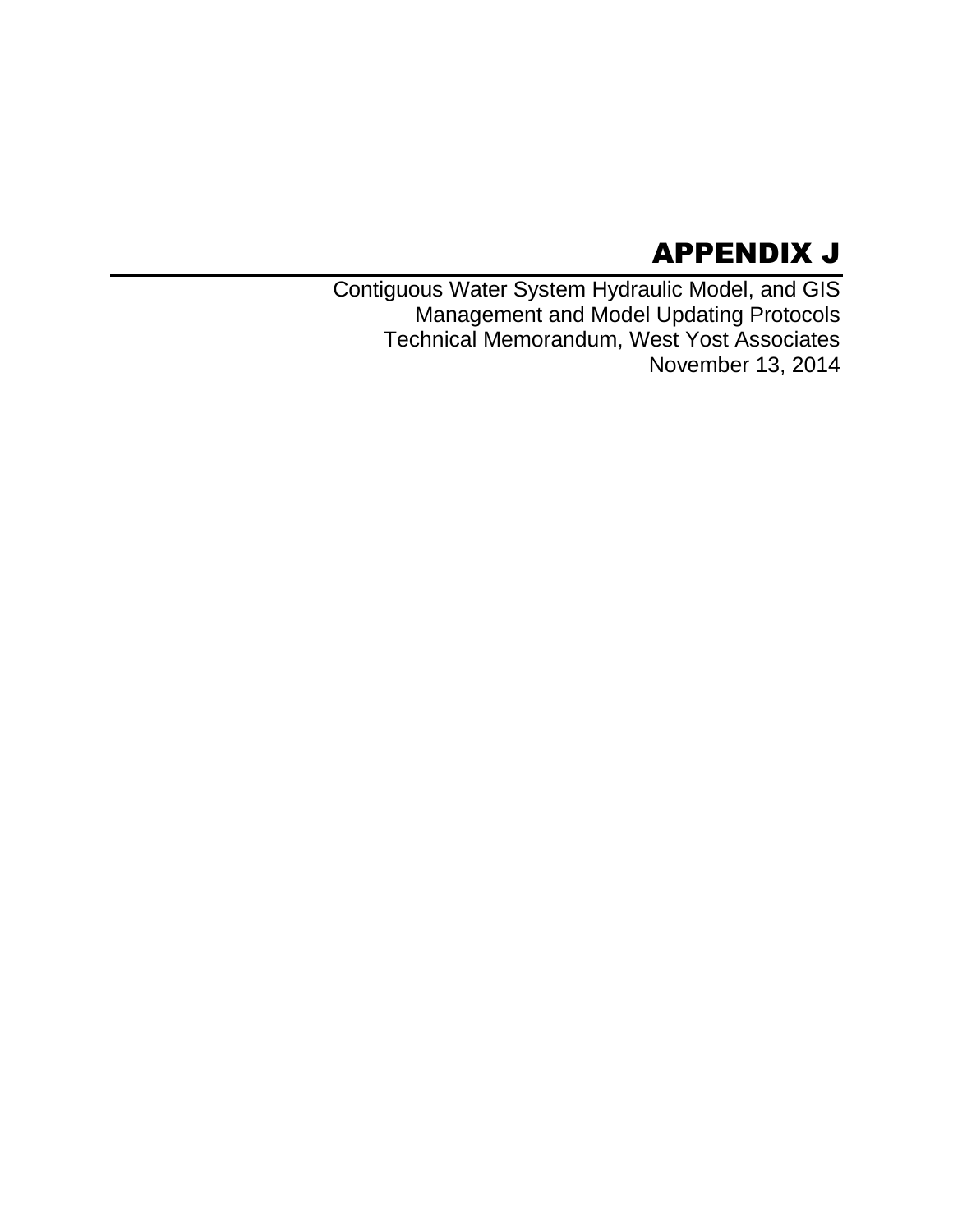# APPENDIX J

Contiguous Water System Hydraulic Model, and GIS Management and Model Updating Protocols Technical Memorandum, West Yost Associates November 13, 2014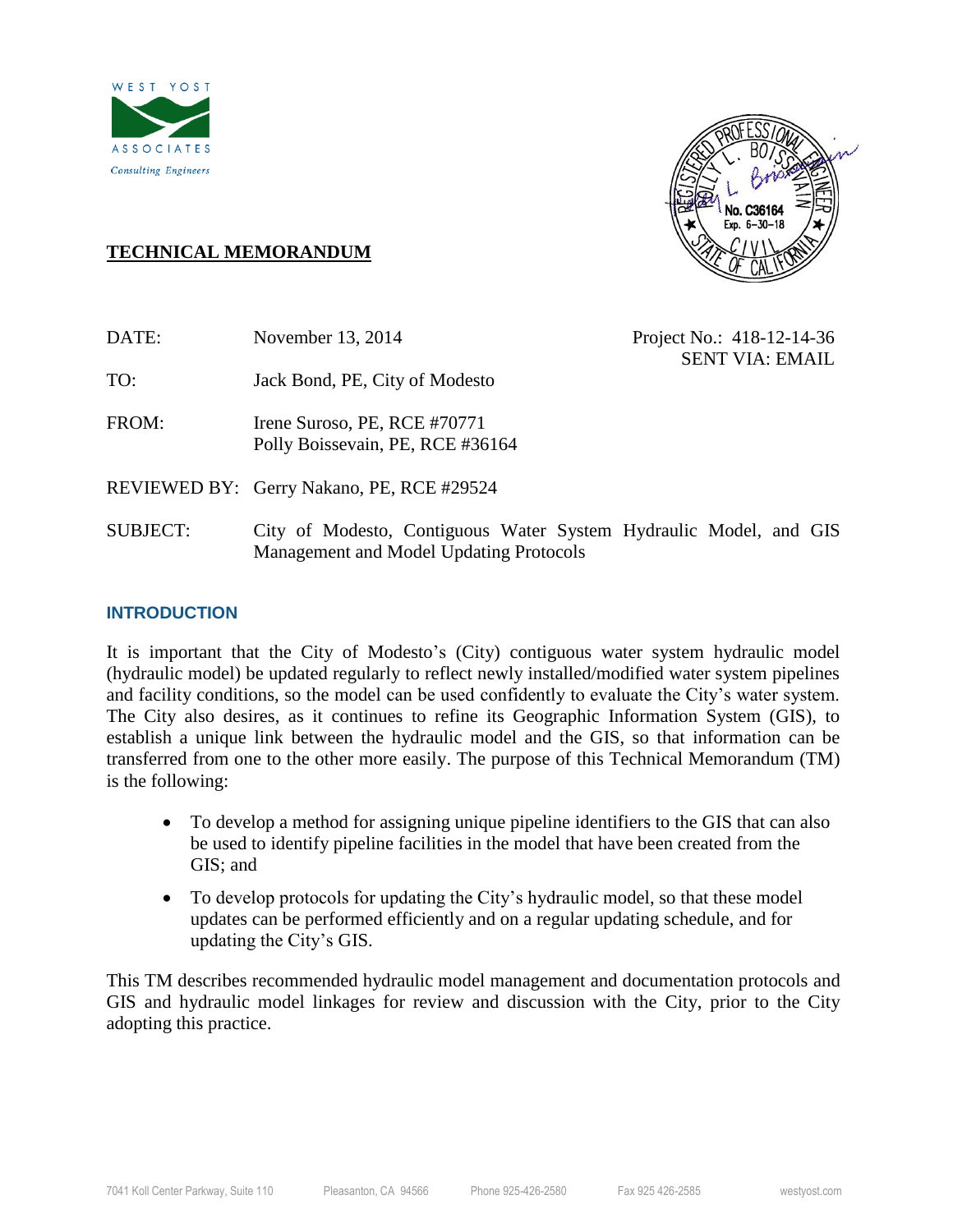



### **TECHNICAL MEMORANDUM**

| DATE:           | November 13, 2014                                                                                            | Project No.: 418-12-14-36<br><b>SENT VIA: EMAIL</b> |  |  |  |  |
|-----------------|--------------------------------------------------------------------------------------------------------------|-----------------------------------------------------|--|--|--|--|
| TO:             | Jack Bond, PE, City of Modesto                                                                               |                                                     |  |  |  |  |
| FROM:           | Irene Suroso, PE, RCE #70771<br>Polly Boissevain, PE, RCE #36164                                             |                                                     |  |  |  |  |
|                 | REVIEWED BY: Gerry Nakano, PE, RCE #29524                                                                    |                                                     |  |  |  |  |
| <b>SUBJECT:</b> | City of Modesto, Contiguous Water System Hydraulic Model, and GIS<br>Management and Model Updating Protocols |                                                     |  |  |  |  |

#### **INTRODUCTION**

It is important that the City of Modesto's (City) contiguous water system hydraulic model (hydraulic model) be updated regularly to reflect newly installed/modified water system pipelines and facility conditions, so the model can be used confidently to evaluate the City's water system. The City also desires, as it continues to refine its Geographic Information System (GIS), to establish a unique link between the hydraulic model and the GIS, so that information can be transferred from one to the other more easily. The purpose of this Technical Memorandum (TM) is the following:

- To develop a method for assigning unique pipeline identifiers to the GIS that can also be used to identify pipeline facilities in the model that have been created from the GIS; and
- To develop protocols for updating the City's hydraulic model, so that these model updates can be performed efficiently and on a regular updating schedule, and for updating the City's GIS.

This TM describes recommended hydraulic model management and documentation protocols and GIS and hydraulic model linkages for review and discussion with the City, prior to the City adopting this practice.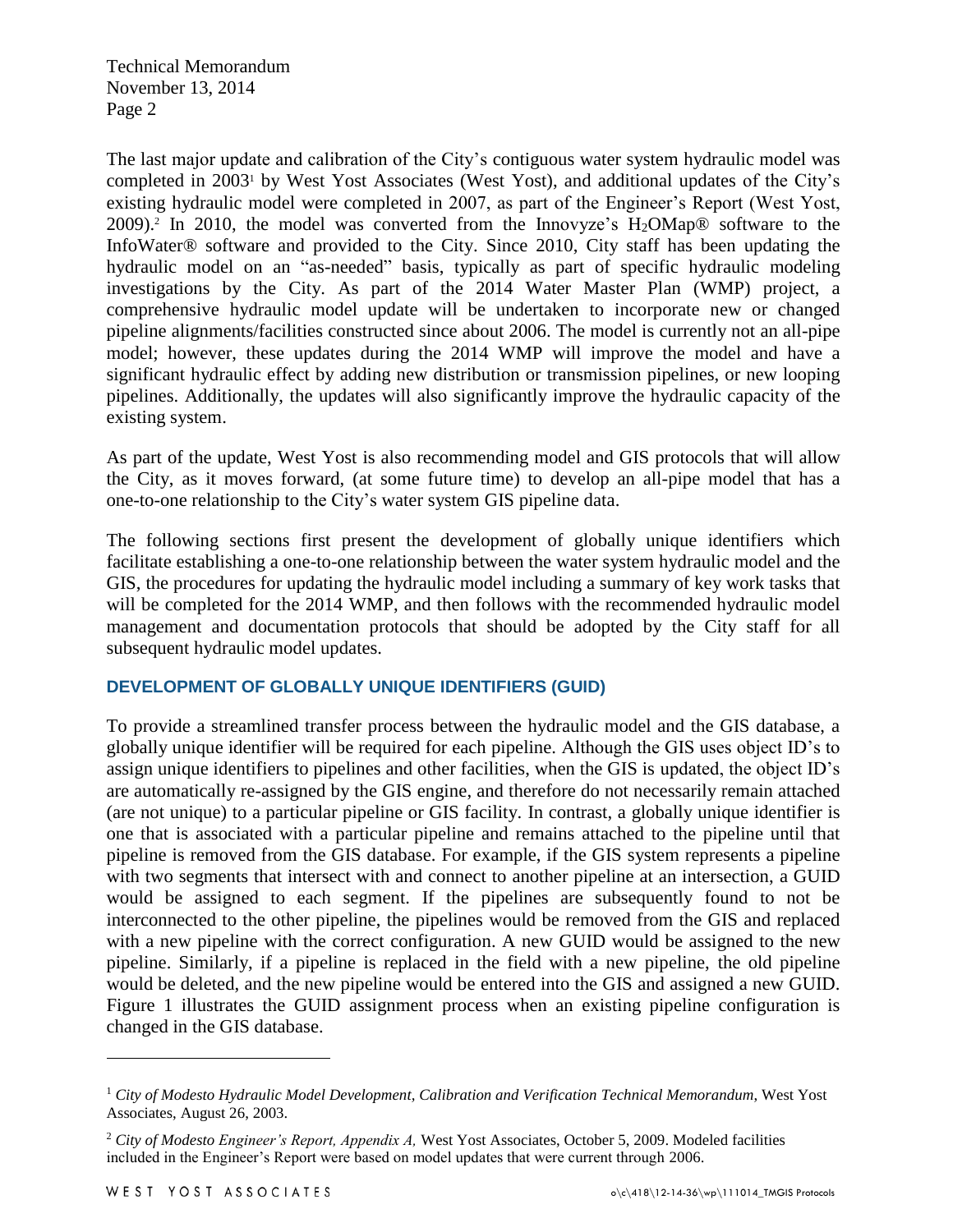The last major update and calibration of the City's contiguous water system hydraulic model was completed in 2003<sup>1</sup> by West Yost Associates (West Yost), and additional updates of the City's existing hydraulic model were completed in 2007, as part of the Engineer's Report (West Yost, 2009).<sup>2</sup> In 2010, the model was converted from the Innovyze's H<sub>2</sub>OMap<sup>®</sup> software to the InfoWater® software and provided to the City. Since 2010, City staff has been updating the hydraulic model on an "as-needed" basis, typically as part of specific hydraulic modeling investigations by the City. As part of the 2014 Water Master Plan (WMP) project, a comprehensive hydraulic model update will be undertaken to incorporate new or changed pipeline alignments/facilities constructed since about 2006. The model is currently not an all-pipe model; however, these updates during the 2014 WMP will improve the model and have a significant hydraulic effect by adding new distribution or transmission pipelines, or new looping pipelines. Additionally, the updates will also significantly improve the hydraulic capacity of the existing system.

As part of the update, West Yost is also recommending model and GIS protocols that will allow the City, as it moves forward, (at some future time) to develop an all-pipe model that has a one-to-one relationship to the City's water system GIS pipeline data.

The following sections first present the development of globally unique identifiers which facilitate establishing a one-to-one relationship between the water system hydraulic model and the GIS, the procedures for updating the hydraulic model including a summary of key work tasks that will be completed for the 2014 WMP, and then follows with the recommended hydraulic model management and documentation protocols that should be adopted by the City staff for all subsequent hydraulic model updates.

#### **DEVELOPMENT OF GLOBALLY UNIQUE IDENTIFIERS (GUID)**

To provide a streamlined transfer process between the hydraulic model and the GIS database, a globally unique identifier will be required for each pipeline. Although the GIS uses object ID's to assign unique identifiers to pipelines and other facilities, when the GIS is updated, the object ID's are automatically re-assigned by the GIS engine, and therefore do not necessarily remain attached (are not unique) to a particular pipeline or GIS facility. In contrast, a globally unique identifier is one that is associated with a particular pipeline and remains attached to the pipeline until that pipeline is removed from the GIS database. For example, if the GIS system represents a pipeline with two segments that intersect with and connect to another pipeline at an intersection, a GUID would be assigned to each segment. If the pipelines are subsequently found to not be interconnected to the other pipeline, the pipelines would be removed from the GIS and replaced with a new pipeline with the correct configuration. A new GUID would be assigned to the new pipeline. Similarly, if a pipeline is replaced in the field with a new pipeline, the old pipeline would be deleted, and the new pipeline would be entered into the GIS and assigned a new GUID. Figure 1 illustrates the GUID assignment process when an existing pipeline configuration is changed in the GIS database.

 $\overline{a}$ 

<sup>1</sup> *City of Modesto Hydraulic Model Development, Calibration and Verification Technical Memorandum*, West Yost Associates, August 26, 2003.

<sup>2</sup> *City of Modesto Engineer's Report, Appendix A,* West Yost Associates, October 5, 2009. Modeled facilities included in the Engineer's Report were based on model updates that were current through 2006.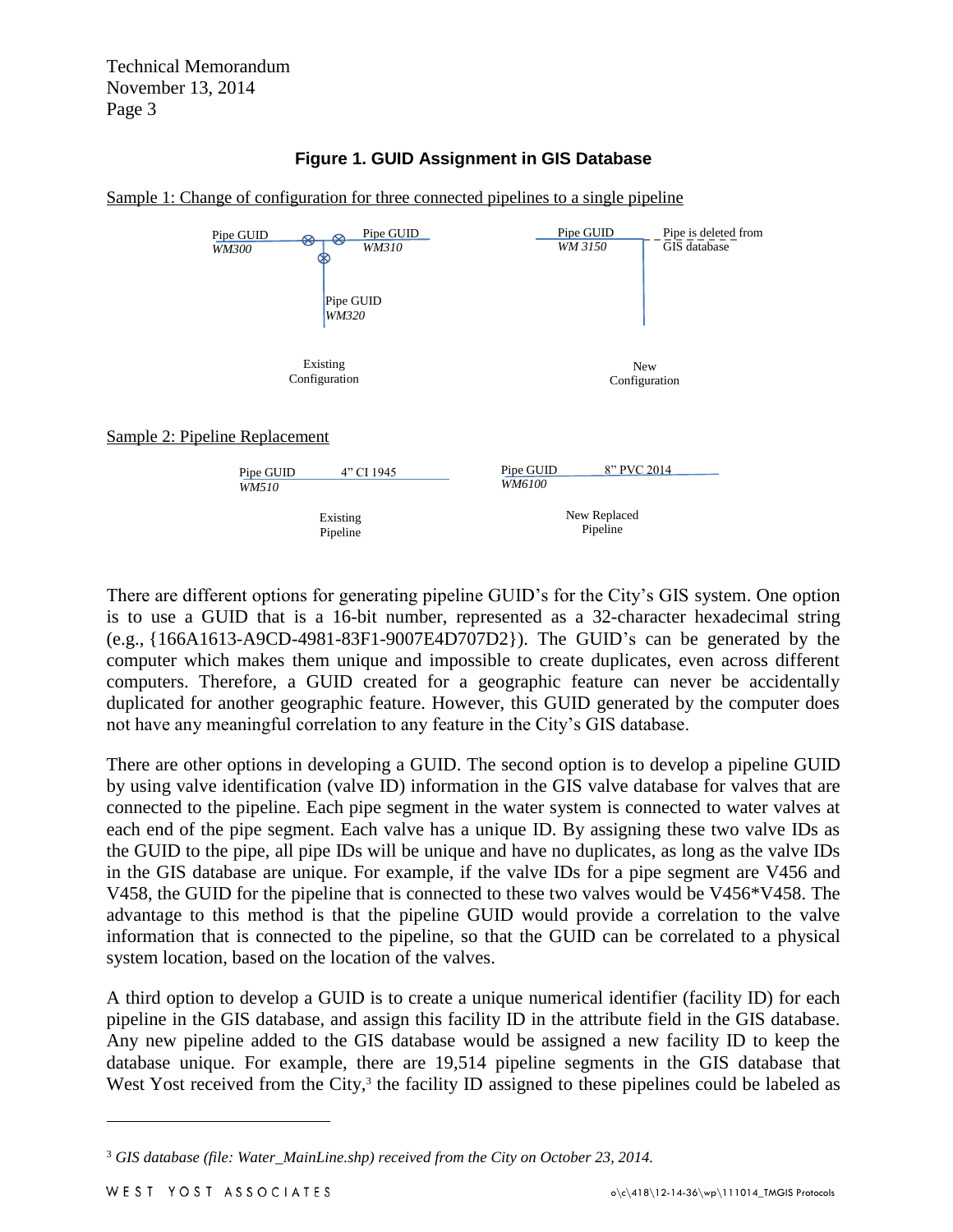

**Figure 1. GUID Assignment in GIS Database**

There are different options for generating pipeline GUID's for the City's GIS system. One option is to use a GUID that is a 16-bit number, represented as a 32-character hexadecimal string (e.g., {166A1613-A9CD-4981-83F1-9007E4D707D2}). The GUID's can be generated by the computer which makes them unique and impossible to create duplicates, even across different computers. Therefore, a GUID created for a geographic feature can never be accidentally duplicated for another geographic feature. However, this GUID generated by the computer does not have any meaningful correlation to any feature in the City's GIS database.

There are other options in developing a GUID. The second option is to develop a pipeline GUID by using valve identification (valve ID) information in the GIS valve database for valves that are connected to the pipeline. Each pipe segment in the water system is connected to water valves at each end of the pipe segment. Each valve has a unique ID. By assigning these two valve IDs as the GUID to the pipe, all pipe IDs will be unique and have no duplicates, as long as the valve IDs in the GIS database are unique. For example, if the valve IDs for a pipe segment are V456 and V458, the GUID for the pipeline that is connected to these two valves would be V456\*V458. The advantage to this method is that the pipeline GUID would provide a correlation to the valve information that is connected to the pipeline, so that the GUID can be correlated to a physical system location, based on the location of the valves.

A third option to develop a GUID is to create a unique numerical identifier (facility ID) for each pipeline in the GIS database, and assign this facility ID in the attribute field in the GIS database. Any new pipeline added to the GIS database would be assigned a new facility ID to keep the database unique. For example, there are 19,514 pipeline segments in the GIS database that West Yost received from the City,<sup>3</sup> the facility ID assigned to these pipelines could be labeled as

 $\overline{a}$ 

<sup>3</sup> *GIS database (file: Water\_MainLine.shp) received from the City on October 23, 2014.*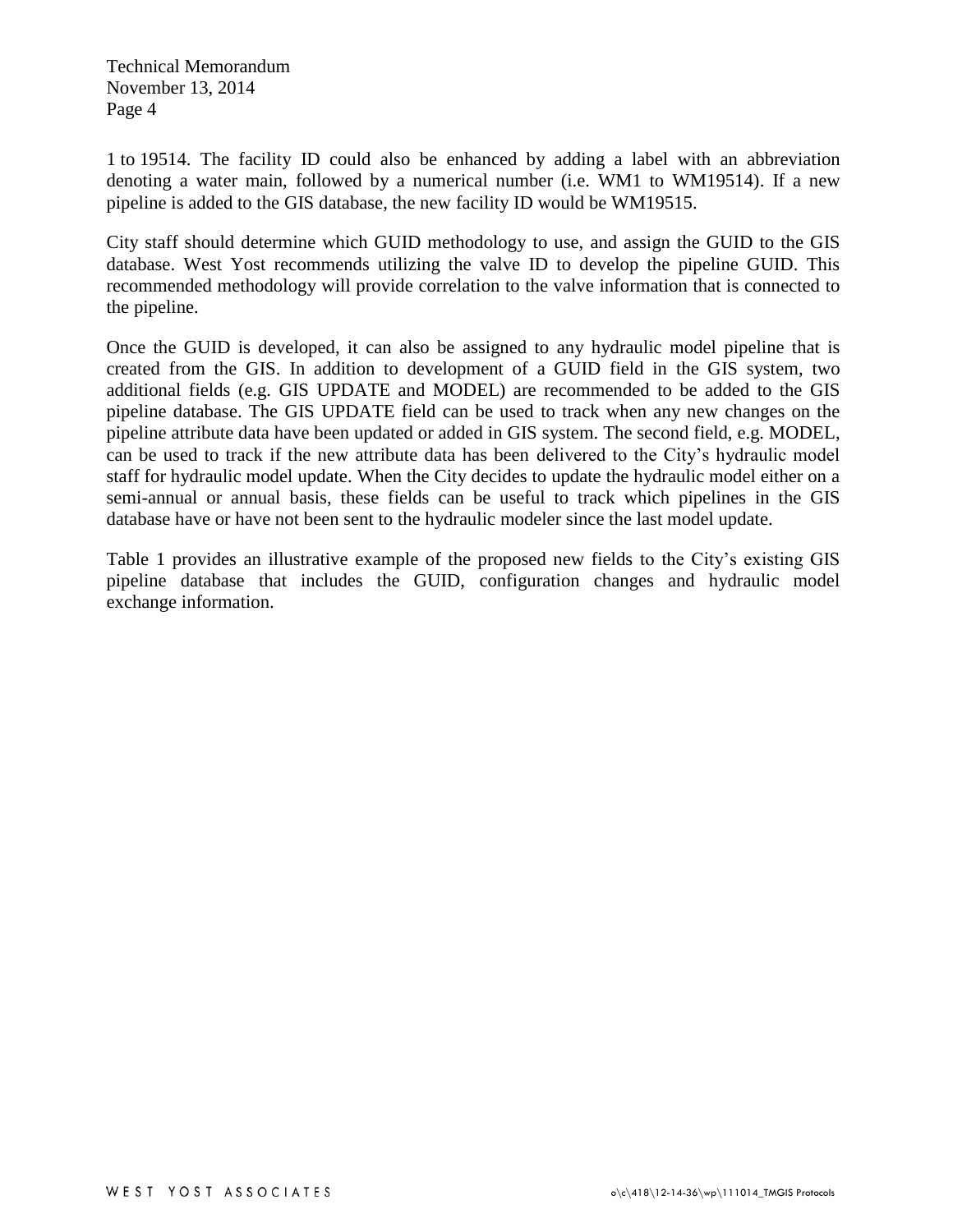1 to 19514. The facility ID could also be enhanced by adding a label with an abbreviation denoting a water main, followed by a numerical number (i.e. WM1 to WM19514). If a new pipeline is added to the GIS database, the new facility ID would be WM19515.

City staff should determine which GUID methodology to use, and assign the GUID to the GIS database. West Yost recommends utilizing the valve ID to develop the pipeline GUID. This recommended methodology will provide correlation to the valve information that is connected to the pipeline.

Once the GUID is developed, it can also be assigned to any hydraulic model pipeline that is created from the GIS. In addition to development of a GUID field in the GIS system, two additional fields (e.g. GIS UPDATE and MODEL) are recommended to be added to the GIS pipeline database. The GIS UPDATE field can be used to track when any new changes on the pipeline attribute data have been updated or added in GIS system. The second field, e.g. MODEL, can be used to track if the new attribute data has been delivered to the City's hydraulic model staff for hydraulic model update. When the City decides to update the hydraulic model either on a semi-annual or annual basis, these fields can be useful to track which pipelines in the GIS database have or have not been sent to the hydraulic modeler since the last model update.

Table 1 provides an illustrative example of the proposed new fields to the City's existing GIS pipeline database that includes the GUID, configuration changes and hydraulic model exchange information.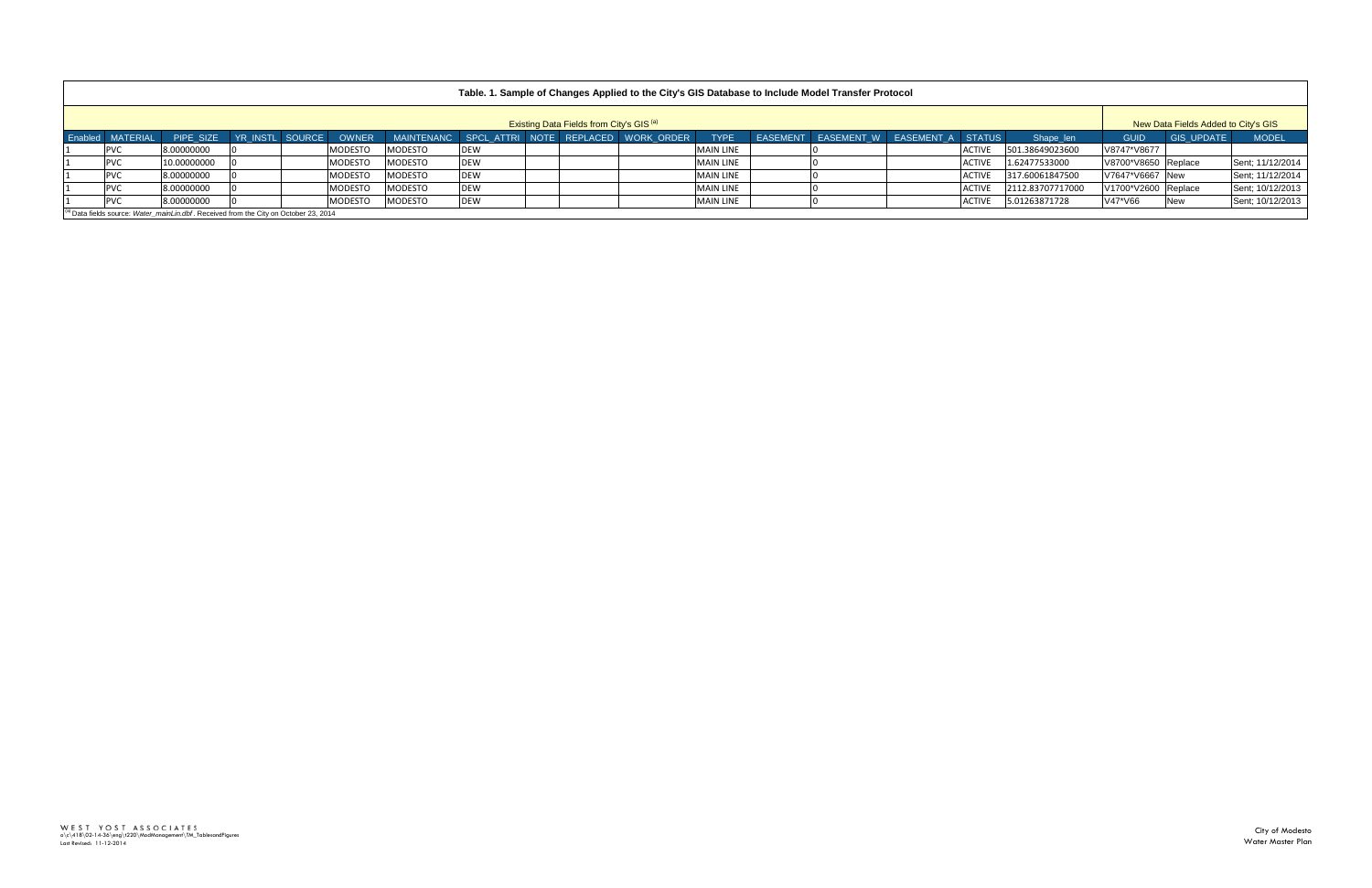| Table. 1. Sample of Changes Applied to the City's GIS Database to Include Model Transfer Protocol |                  |             |  |  |                |                |            |  |                                                                                     |                  |                                       |               |                  |                     |                   |                  |
|---------------------------------------------------------------------------------------------------|------------------|-------------|--|--|----------------|----------------|------------|--|-------------------------------------------------------------------------------------|------------------|---------------------------------------|---------------|------------------|---------------------|-------------------|------------------|
| <b>Existing Data Fields from City's GIS<sup>(a)</sup></b>                                         |                  |             |  |  |                |                |            |  | New Data Fields Added to City's GIS                                                 |                  |                                       |               |                  |                     |                   |                  |
|                                                                                                   | Enabled MATERIAL |             |  |  |                |                |            |  | PIPE_SIZE YR_INSTL SOURCE OWNER MAINTENANC SPCL_ATTRI NOTE REPLACED WORK_ORDER TYPE |                  | EASEMENT EASEMENT_W EASEMENT_A STATUS |               | Shape len        | <b>GUID</b>         | <b>GIS UPDATE</b> | <b>MODEL</b>     |
|                                                                                                   | <b>PVC</b>       | 8.00000000  |  |  | MODESTO        | <b>MODESTO</b> | <b>DEW</b> |  |                                                                                     | <b>MAIN LINE</b> |                                       | ACTIVE        | 501.38649023600  | V8747*V8677         |                   |                  |
|                                                                                                   | <b>PVC</b>       | 10.00000000 |  |  | <b>MODESTO</b> | <b>MODESTO</b> | <b>DEW</b> |  |                                                                                     | <b>MAIN LINE</b> |                                       | <b>ACTIVE</b> | 1.62477533000    | V8700*V8650 Replace |                   | Sent: 11/12/2014 |
|                                                                                                   | <b>PVC</b>       | 8.00000000  |  |  | MODESTO        | <b>MODESTO</b> | <b>DEW</b> |  |                                                                                     | <b>MAIN LINE</b> |                                       | <b>ACTIVE</b> | 317.60061847500  | V7647*V6667 New     |                   | Sent; 11/12/2014 |
|                                                                                                   | <b>PVC</b>       | 8.00000000  |  |  | <b>MODESTO</b> | <b>MODESTO</b> | <b>DEW</b> |  |                                                                                     | <b>MAIN LINE</b> |                                       | <b>ACTIVE</b> | 2112.83707717000 | V1700*V2600 Replace |                   | Sent; 10/12/2013 |
|                                                                                                   | <b>PVC</b>       | 8.00000000  |  |  | MODESTO        | MODESTO        | <b>DEW</b> |  |                                                                                     | <b>MAIN LINE</b> |                                       | ACTIVE        | 5.01263871728    | V47*V66             | <b>New</b>        | Sent; 10/12/2013 |
| (a) Data fields source: Water_mainLin.dbf. Received from the City on October 23, 2014             |                  |             |  |  |                |                |            |  |                                                                                     |                  |                                       |               |                  |                     |                   |                  |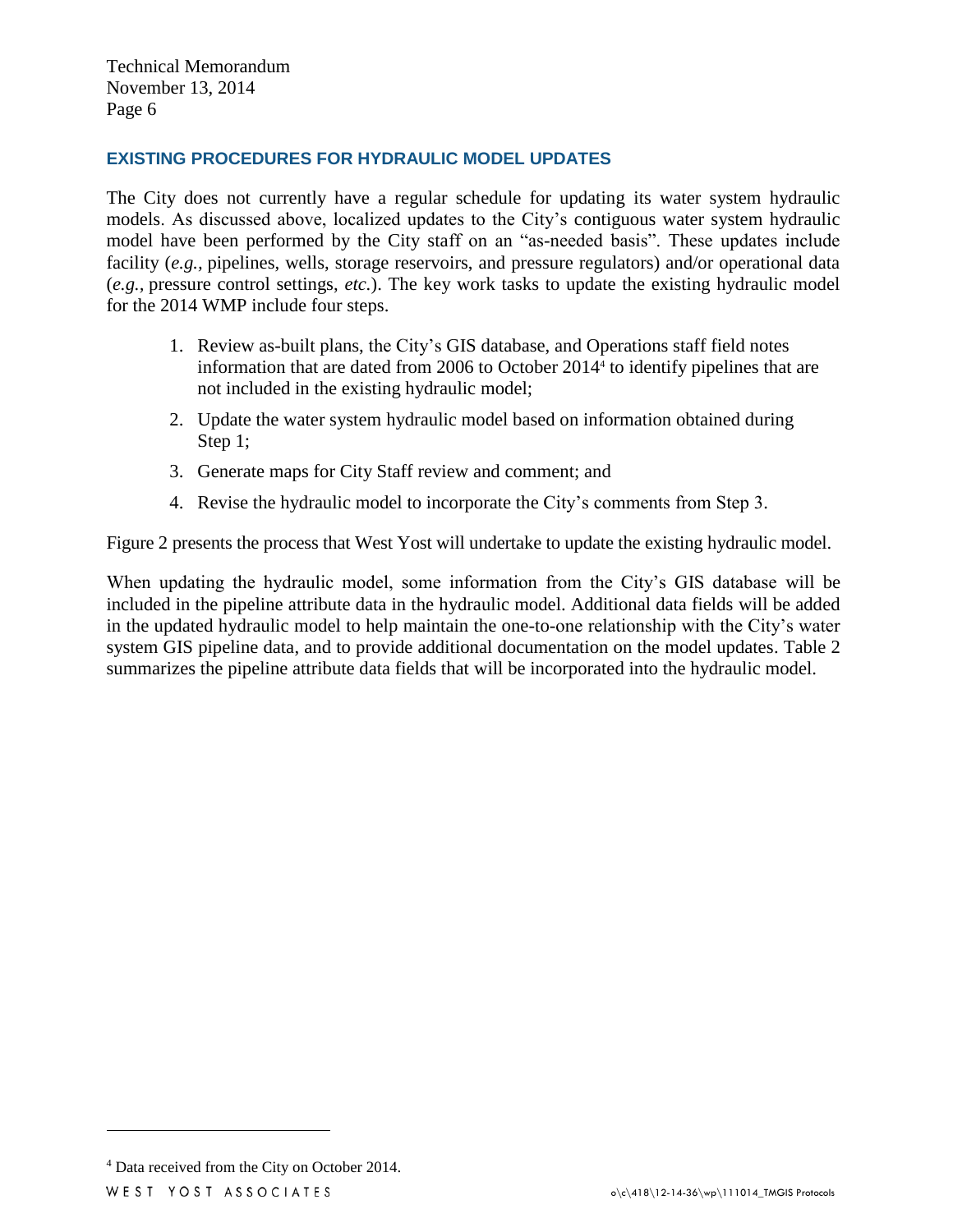#### **EXISTING PROCEDURES FOR HYDRAULIC MODEL UPDATES**

The City does not currently have a regular schedule for updating its water system hydraulic models. As discussed above, localized updates to the City's contiguous water system hydraulic model have been performed by the City staff on an "as-needed basis". These updates include facility (*e.g.*, pipelines, wells, storage reservoirs, and pressure regulators) and/or operational data (*e.g.,* pressure control settings, *etc.*). The key work tasks to update the existing hydraulic model for the 2014 WMP include four steps.

- 1. Review as-built plans, the City's GIS database, and Operations staff field notes information that are dated from 2006 to October 2014<sup>4</sup> to identify pipelines that are not included in the existing hydraulic model;
- 2. Update the water system hydraulic model based on information obtained during Step 1;
- 3. Generate maps for City Staff review and comment; and
- 4. Revise the hydraulic model to incorporate the City's comments from Step 3.

Figure 2 presents the process that West Yost will undertake to update the existing hydraulic model.

When updating the hydraulic model, some information from the City's GIS database will be included in the pipeline attribute data in the hydraulic model. Additional data fields will be added in the updated hydraulic model to help maintain the one-to-one relationship with the City's water system GIS pipeline data, and to provide additional documentation on the model updates. Table 2 summarizes the pipeline attribute data fields that will be incorporated into the hydraulic model.

 $\overline{a}$ 

<sup>4</sup> Data received from the City on October 2014.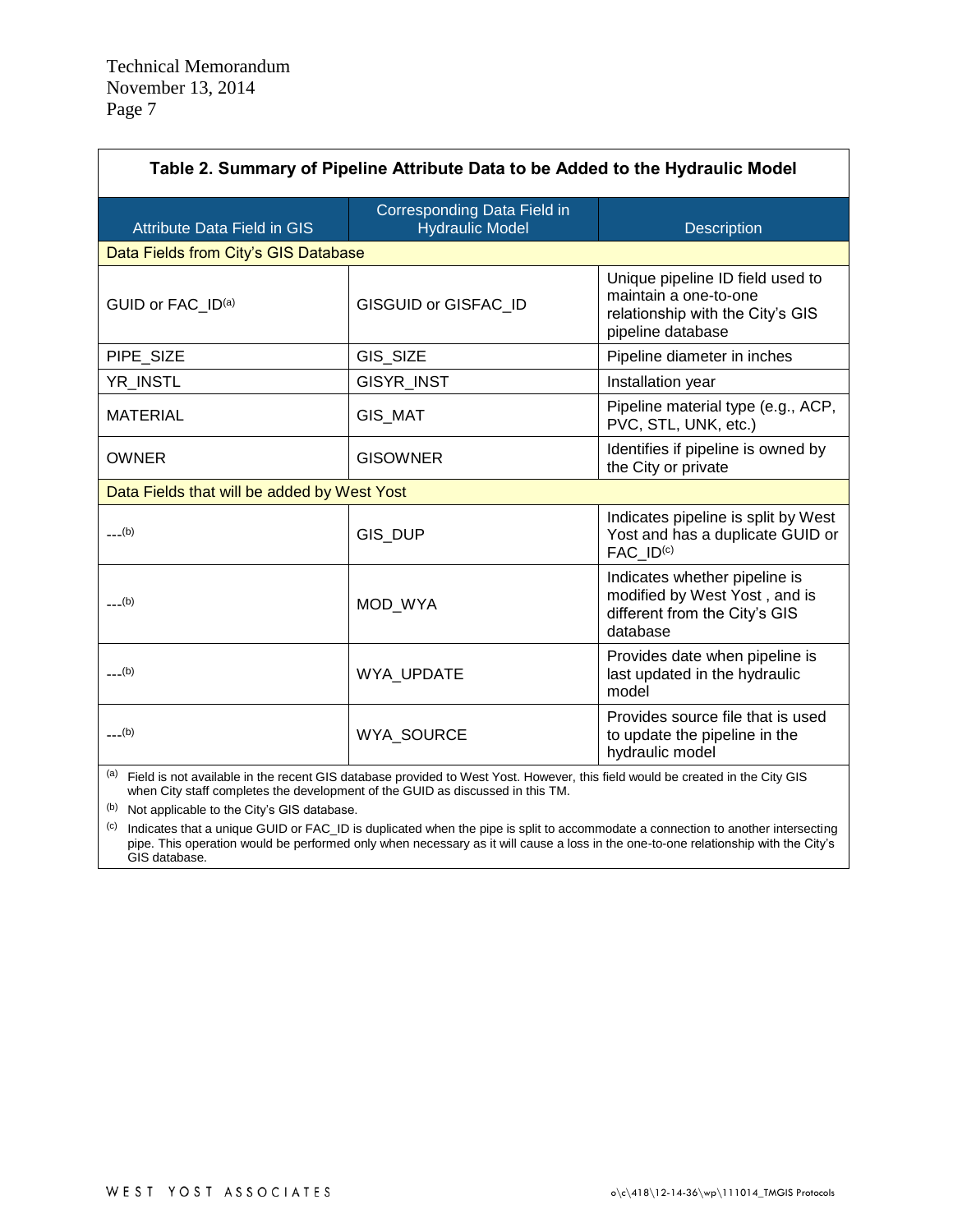| Table 2. Summary of Pipeline Attribute Data to be Added to the Hydraulic Model |                                                       |                                                                                                                    |  |  |  |  |  |  |
|--------------------------------------------------------------------------------|-------------------------------------------------------|--------------------------------------------------------------------------------------------------------------------|--|--|--|--|--|--|
| <b>Attribute Data Field in GIS</b>                                             | Corresponding Data Field in<br><b>Hydraulic Model</b> | <b>Description</b>                                                                                                 |  |  |  |  |  |  |
| Data Fields from City's GIS Database                                           |                                                       |                                                                                                                    |  |  |  |  |  |  |
| GUID or FAC ID(a)                                                              | <b>GISGUID or GISFAC ID</b>                           | Unique pipeline ID field used to<br>maintain a one-to-one<br>relationship with the City's GIS<br>pipeline database |  |  |  |  |  |  |
| PIPE_SIZE                                                                      | GIS_SIZE                                              | Pipeline diameter in inches                                                                                        |  |  |  |  |  |  |
| YR INSTL                                                                       | <b>GISYR INST</b>                                     | Installation year                                                                                                  |  |  |  |  |  |  |
| <b>MATERIAL</b>                                                                | <b>GIS MAT</b>                                        | Pipeline material type (e.g., ACP,<br>PVC, STL, UNK, etc.)                                                         |  |  |  |  |  |  |
| <b>OWNER</b>                                                                   | <b>GISOWNER</b>                                       | Identifies if pipeline is owned by<br>the City or private                                                          |  |  |  |  |  |  |
| Data Fields that will be added by West Yost                                    |                                                       |                                                                                                                    |  |  |  |  |  |  |
| $---(b)$                                                                       | GIS_DUP                                               | Indicates pipeline is split by West<br>Yost and has a duplicate GUID or<br>FAC ID <sup>(c)</sup>                   |  |  |  |  |  |  |
| $---(b)$                                                                       | MOD_WYA                                               | Indicates whether pipeline is<br>modified by West Yost, and is<br>different from the City's GIS<br>database        |  |  |  |  |  |  |
| $---(b)$                                                                       | WYA UPDATE                                            | Provides date when pipeline is<br>last updated in the hydraulic<br>model                                           |  |  |  |  |  |  |
| $---(b)$                                                                       | <b>WYA SOURCE</b>                                     | Provides source file that is used<br>to update the pipeline in the<br>hydraulic model                              |  |  |  |  |  |  |

<sup>(a)</sup> Field is not available in the recent GIS database provided to West Yost. However, this field would be created in the City GIS when City staff completes the development of the GUID as discussed in this TM.

(b) Not applicable to the City's GIS database.

 $(c)$  Indicates that a unique GUID or FAC\_ID is duplicated when the pipe is split to accommodate a connection to another intersecting pipe. This operation would be performed only when necessary as it will cause a loss in the one-to-one relationship with the City's GIS database.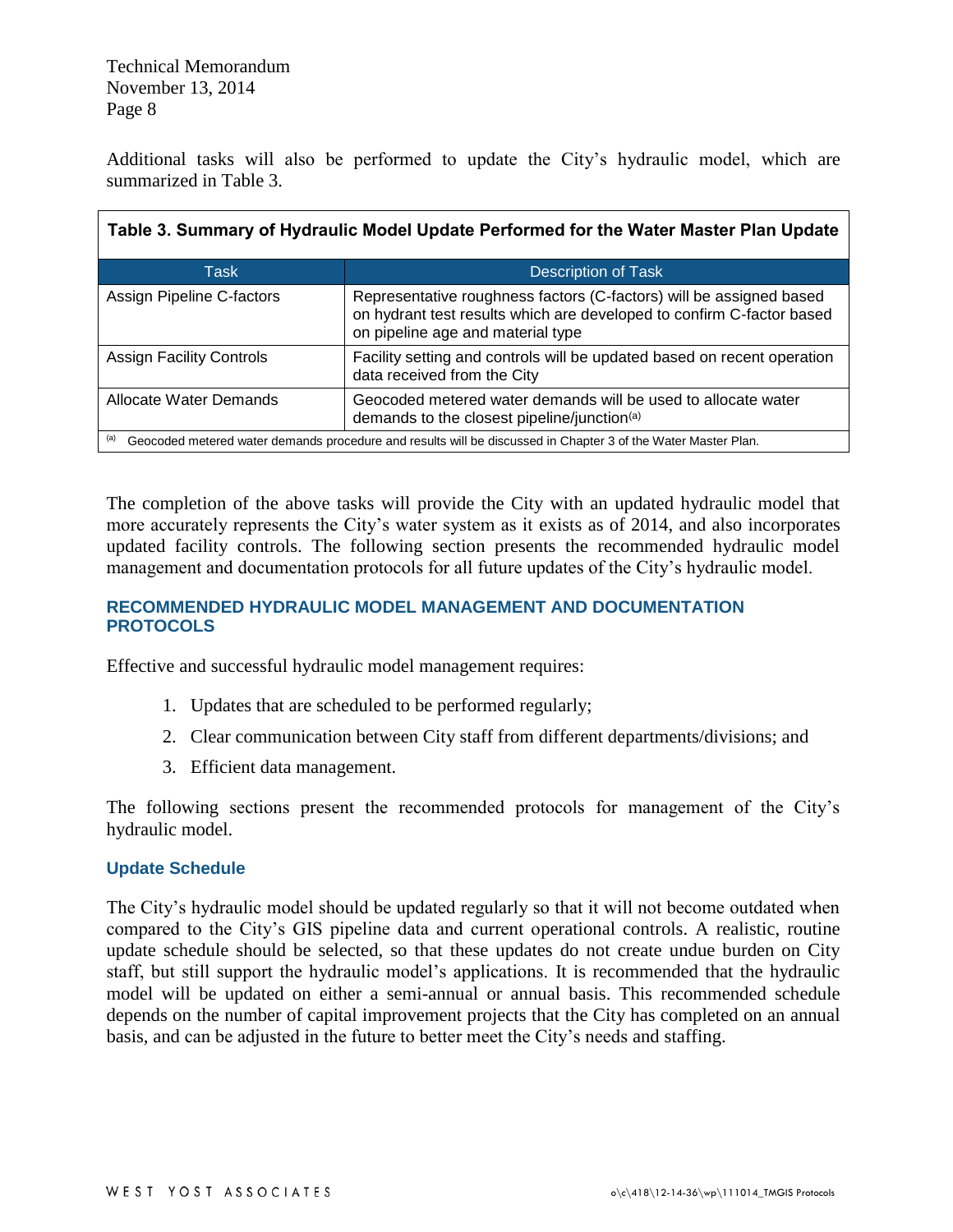| Table 3. Summary of Hydraulic Model Update Performed for the Water Master Plan Update                                |                                                                                                                                                                                   |  |  |  |  |
|----------------------------------------------------------------------------------------------------------------------|-----------------------------------------------------------------------------------------------------------------------------------------------------------------------------------|--|--|--|--|
| Task                                                                                                                 | Description of Task                                                                                                                                                               |  |  |  |  |
| Assign Pipeline C-factors                                                                                            | Representative roughness factors (C-factors) will be assigned based<br>on hydrant test results which are developed to confirm C-factor based<br>on pipeline age and material type |  |  |  |  |
| <b>Assign Facility Controls</b>                                                                                      | Facility setting and controls will be updated based on recent operation<br>data received from the City                                                                            |  |  |  |  |
| Allocate Water Demands                                                                                               | Geocoded metered water demands will be used to allocate water<br>demands to the closest pipeline/junction <sup>(a)</sup>                                                          |  |  |  |  |
| (a)<br>Geocoded metered water demands procedure and results will be discussed in Chapter 3 of the Water Master Plan. |                                                                                                                                                                                   |  |  |  |  |

Additional tasks will also be performed to update the City's hydraulic model, which are summarized in Table 3.

The completion of the above tasks will provide the City with an updated hydraulic model that more accurately represents the City's water system as it exists as of 2014, and also incorporates updated facility controls. The following section presents the recommended hydraulic model management and documentation protocols for all future updates of the City's hydraulic model.

#### **RECOMMENDED HYDRAULIC MODEL MANAGEMENT AND DOCUMENTATION PROTOCOLS**

Effective and successful hydraulic model management requires:

- 1. Updates that are scheduled to be performed regularly;
- 2. Clear communication between City staff from different departments/divisions; and
- 3. Efficient data management.

The following sections present the recommended protocols for management of the City's hydraulic model.

#### **Update Schedule**

The City's hydraulic model should be updated regularly so that it will not become outdated when compared to the City's GIS pipeline data and current operational controls. A realistic, routine update schedule should be selected, so that these updates do not create undue burden on City staff, but still support the hydraulic model's applications. It is recommended that the hydraulic model will be updated on either a semi-annual or annual basis. This recommended schedule depends on the number of capital improvement projects that the City has completed on an annual basis, and can be adjusted in the future to better meet the City's needs and staffing.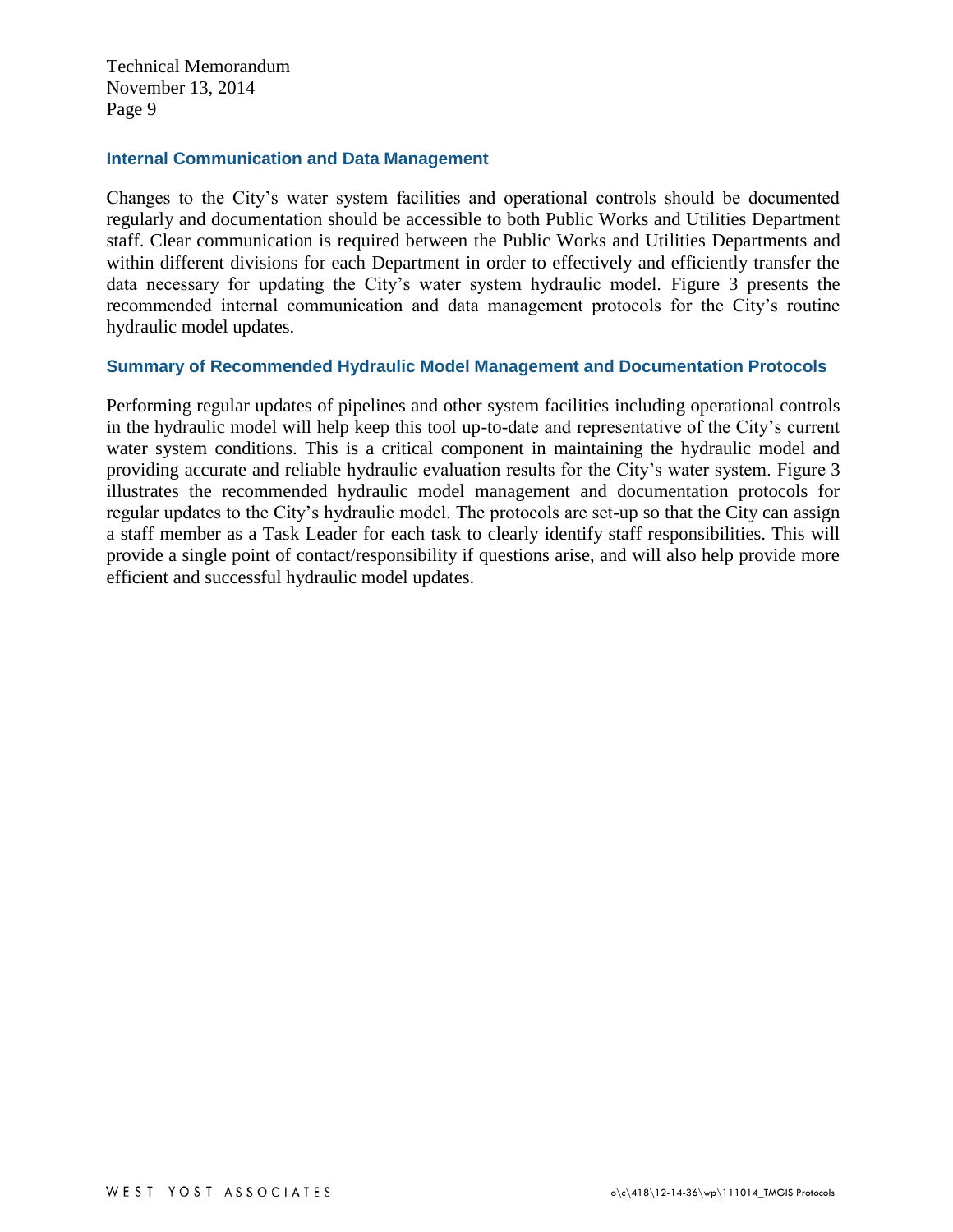#### **Internal Communication and Data Management**

Changes to the City's water system facilities and operational controls should be documented regularly and documentation should be accessible to both Public Works and Utilities Department staff. Clear communication is required between the Public Works and Utilities Departments and within different divisions for each Department in order to effectively and efficiently transfer the data necessary for updating the City's water system hydraulic model. Figure 3 presents the recommended internal communication and data management protocols for the City's routine hydraulic model updates.

#### **Summary of Recommended Hydraulic Model Management and Documentation Protocols**

Performing regular updates of pipelines and other system facilities including operational controls in the hydraulic model will help keep this tool up-to-date and representative of the City's current water system conditions. This is a critical component in maintaining the hydraulic model and providing accurate and reliable hydraulic evaluation results for the City's water system. Figure 3 illustrates the recommended hydraulic model management and documentation protocols for regular updates to the City's hydraulic model. The protocols are set-up so that the City can assign a staff member as a Task Leader for each task to clearly identify staff responsibilities. This will provide a single point of contact/responsibility if questions arise, and will also help provide more efficient and successful hydraulic model updates.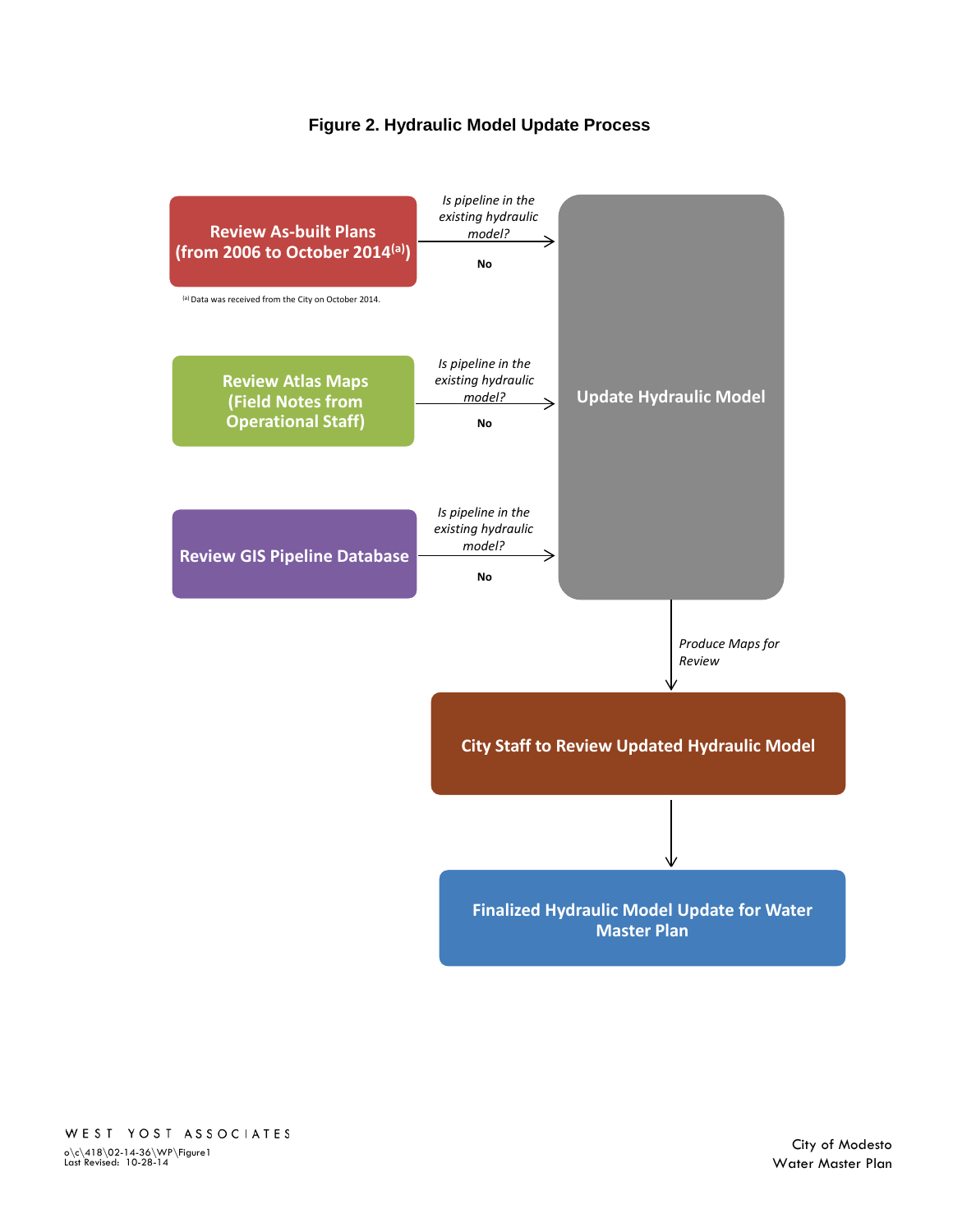#### **Figure 2. Hydraulic Model Update Process**